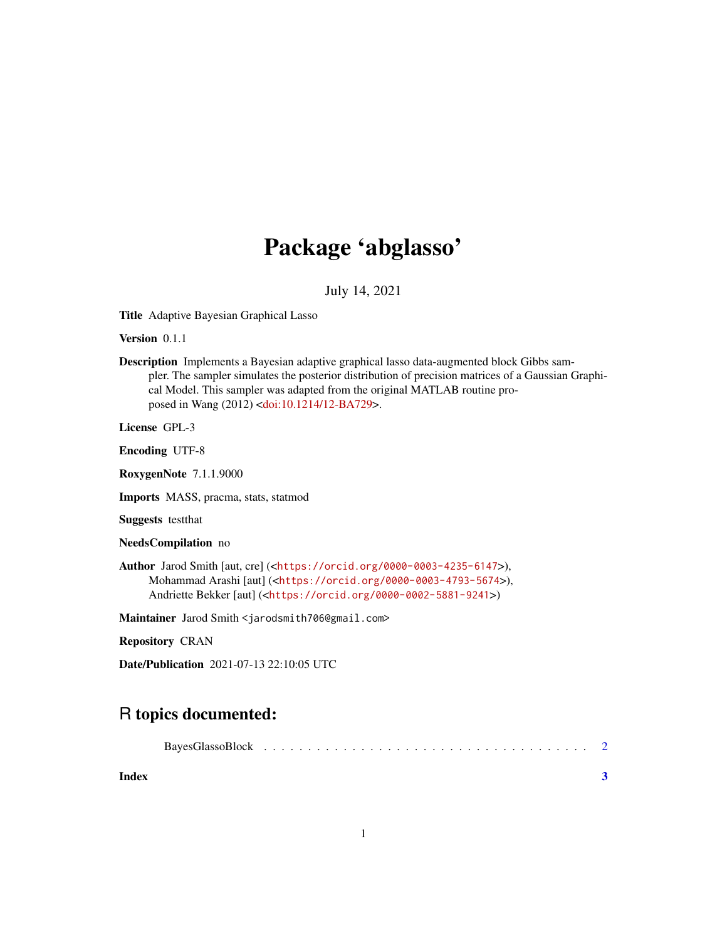## Package 'abglasso'

July 14, 2021

Title Adaptive Bayesian Graphical Lasso

Version 0.1.1

Description Implements a Bayesian adaptive graphical lasso data-augmented block Gibbs sampler. The sampler simulates the posterior distribution of precision matrices of a Gaussian Graphical Model. This sampler was adapted from the original MATLAB routine proposed in Wang (2012) [<doi:10.1214/12-BA729>](https://doi.org/10.1214/12-BA729).

License GPL-3

Encoding UTF-8

RoxygenNote 7.1.1.9000

Imports MASS, pracma, stats, statmod

Suggests testthat

NeedsCompilation no

Author Jarod Smith [aut, cre] (<<https://orcid.org/0000-0003-4235-6147>>), Mohammad Arashi [aut] (<<https://orcid.org/0000-0003-4793-5674>>), Andriette Bekker [aut] (<<https://orcid.org/0000-0002-5881-9241>>)

Maintainer Jarod Smith <jarodsmith706@gmail.com>

Repository CRAN

Date/Publication 2021-07-13 22:10:05 UTC

### R topics documented:

| Index |  |  |  |  |  |  |  |  |  |  |  |  |  |  |
|-------|--|--|--|--|--|--|--|--|--|--|--|--|--|--|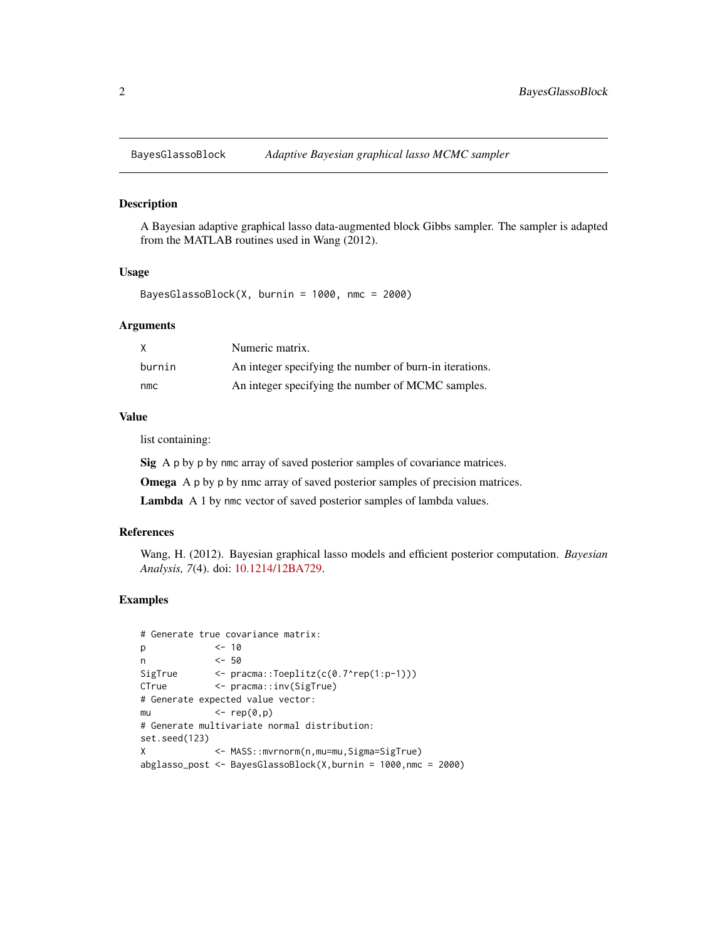<span id="page-1-0"></span>

#### Description

A Bayesian adaptive graphical lasso data-augmented block Gibbs sampler. The sampler is adapted from the MATLAB routines used in Wang (2012).

#### Usage

BayesGlassoBlock(X, burnin = 1000, nmc = 2000)

#### Arguments

| X      | Numeric matrix.                                         |
|--------|---------------------------------------------------------|
| burnin | An integer specifying the number of burn-in iterations. |
| nmc    | An integer specifying the number of MCMC samples.       |

#### Value

list containing:

Sig A p by p by nmc array of saved posterior samples of covariance matrices.

Omega A p by p by nmc array of saved posterior samples of precision matrices.

Lambda A 1 by nmc vector of saved posterior samples of lambda values.

#### References

Wang, H. (2012). Bayesian graphical lasso models and efficient posterior computation. *Bayesian Analysis, 7*(4). doi: [10.1214/12BA729.](https://doi.org/10.1214/12-BA729)

#### Examples

```
# Generate true covariance matrix:
p <- 10
n <- 50
SigTrue <- pracma::Toeplitz(c(0.7^rep(1:p-1)))
CTrue <- pracma::inv(SigTrue)
# Generate expected value vector:
mu \leftarrow \text{rep}(\emptyset, p)# Generate multivariate normal distribution:
set.seed(123)
X <- MASS::mvrnorm(n,mu=mu,Sigma=SigTrue)
abglasso_post <- BayesGlassoBlock(X,burnin = 1000,nmc = 2000)
```